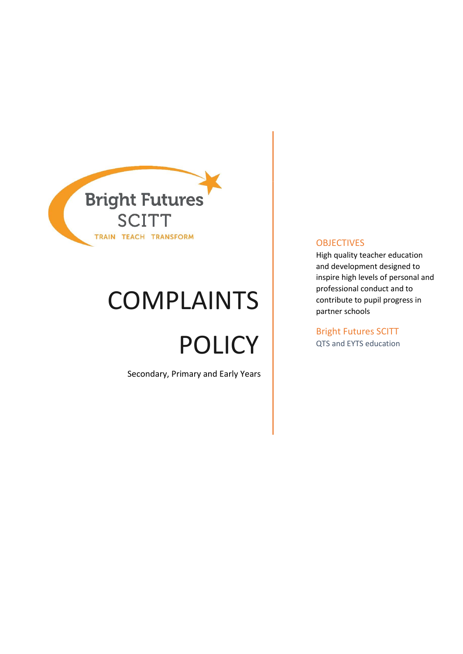

# COMPLAINTS

# POLICY

Secondary, Primary and Early Years

#### **OBJECTIVES**

High quality teacher education and development designed to inspire high levels of personal and professional conduct and to contribute to pupil progress in partner schools

Bright Futures SCITT QTS and EYTS education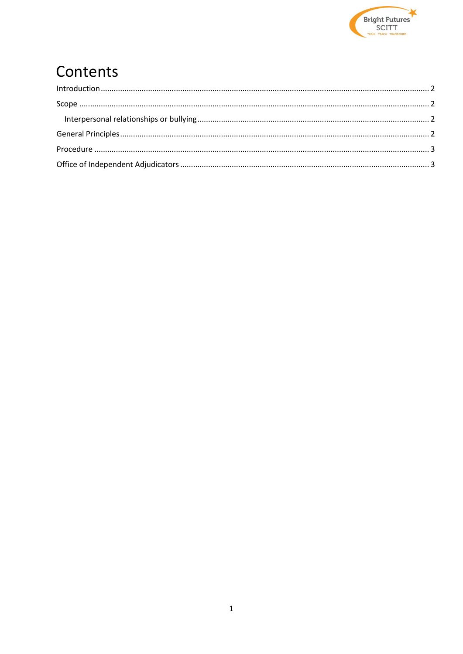

## Contents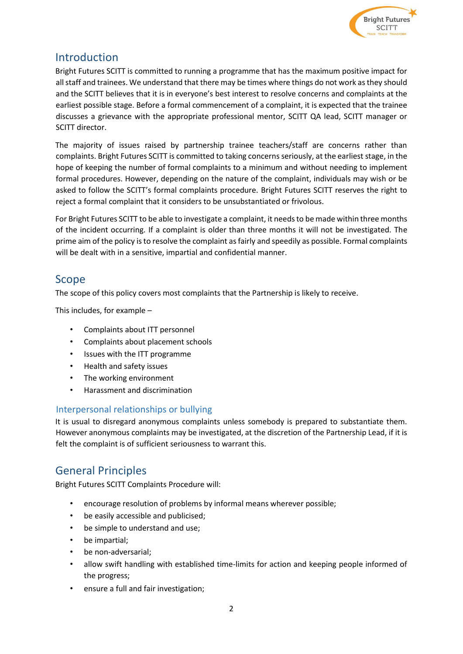

### <span id="page-2-0"></span>Introduction

Bright Futures SCITT is committed to running a programme that has the maximum positive impact for all staff and trainees. We understand that there may be times where things do not work as they should and the SCITT believes that it is in everyone's best interest to resolve concerns and complaints at the earliest possible stage. Before a formal commencement of a complaint, it is expected that the trainee discusses a grievance with the appropriate professional mentor, SCITT QA lead, SCITT manager or SCITT director.

The majority of issues raised by partnership trainee teachers/staff are concerns rather than complaints. Bright Futures SCITT is committed to taking concerns seriously, at the earliest stage, in the hope of keeping the number of formal complaints to a minimum and without needing to implement formal procedures. However, depending on the nature of the complaint, individuals may wish or be asked to follow the SCITT's formal complaints procedure. Bright Futures SCITT reserves the right to reject a formal complaint that it considers to be unsubstantiated or frivolous.

For Bright Futures SCITT to be able to investigate a complaint, it needs to be made within three months of the incident occurring. If a complaint is older than three months it will not be investigated. The prime aim of the policy is to resolve the complaint as fairly and speedily as possible. Formal complaints will be dealt with in a sensitive, impartial and confidential manner.

#### <span id="page-2-1"></span>Scope

The scope of this policy covers most complaints that the Partnership is likely to receive.

This includes, for example –

- Complaints about ITT personnel
- Complaints about placement schools
- Issues with the ITT programme
- Health and safety issues
- The working environment
- Harassment and discrimination

#### <span id="page-2-2"></span>Interpersonal relationships or bullying

It is usual to disregard anonymous complaints unless somebody is prepared to substantiate them. However anonymous complaints may be investigated, at the discretion of the Partnership Lead, if it is felt the complaint is of sufficient seriousness to warrant this.

### <span id="page-2-3"></span>General Principles

Bright Futures SCITT Complaints Procedure will:

- encourage resolution of problems by informal means wherever possible;
- be easily accessible and publicised;
- be simple to understand and use;
- be impartial;
- be non-adversarial;
- allow swift handling with established time-limits for action and keeping people informed of the progress;
- ensure a full and fair investigation;